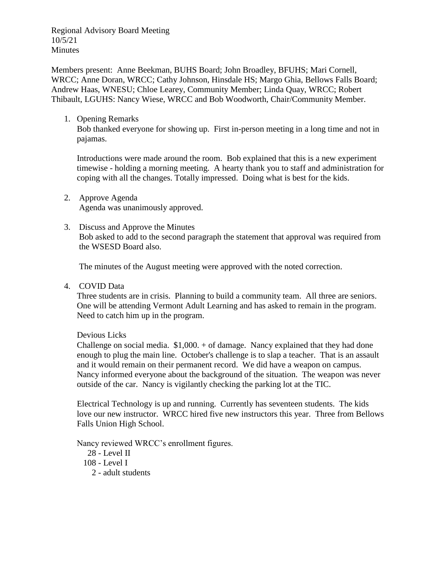Regional Advisory Board Meeting 10/5/21 Minutes

Members present: Anne Beekman, BUHS Board; John Broadley, BFUHS; Mari Cornell, WRCC; Anne Doran, WRCC; Cathy Johnson, Hinsdale HS; Margo Ghia, Bellows Falls Board; Andrew Haas, WNESU; Chloe Learey, Community Member; Linda Quay, WRCC; Robert Thibault, LGUHS: Nancy Wiese, WRCC and Bob Woodworth, Chair/Community Member.

1. Opening Remarks

Bob thanked everyone for showing up. First in-person meeting in a long time and not in pajamas.

Introductions were made around the room. Bob explained that this is a new experiment timewise - holding a morning meeting. A hearty thank you to staff and administration for coping with all the changes. Totally impressed. Doing what is best for the kids.

- 2. Approve Agenda Agenda was unanimously approved.
- 3. Discuss and Approve the Minutes Bob asked to add to the second paragraph the statement that approval was required from the WSESD Board also.

The minutes of the August meeting were approved with the noted correction.

4. COVID Data

Three students are in crisis. Planning to build a community team. All three are seniors. One will be attending Vermont Adult Learning and has asked to remain in the program. Need to catch him up in the program.

Devious Licks

Challenge on social media.  $$1,000. + of damage$ . Nancy explained that they had done enough to plug the main line. October's challenge is to slap a teacher. That is an assault and it would remain on their permanent record. We did have a weapon on campus. Nancy informed everyone about the background of the situation. The weapon was never outside of the car. Nancy is vigilantly checking the parking lot at the TIC.

Electrical Technology is up and running. Currently has seventeen students. The kids love our new instructor. WRCC hired five new instructors this year. Three from Bellows Falls Union High School.

Nancy reviewed WRCC's enrollment figures.

- 28 Level II
- 108 Level I
	- 2 adult students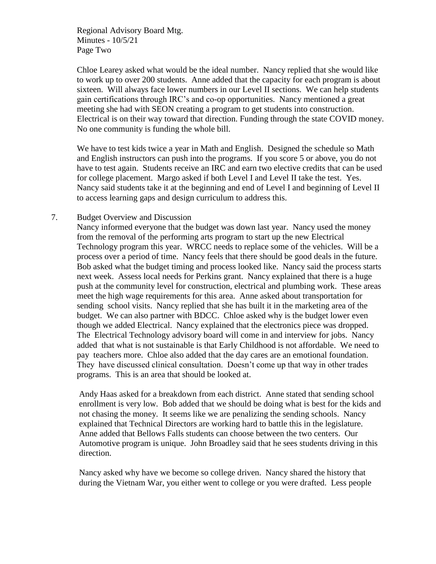Regional Advisory Board Mtg. Minutes - 10/5/21 Page Two

Chloe Learey asked what would be the ideal number. Nancy replied that she would like to work up to over 200 students. Anne added that the capacity for each program is about sixteen. Will always face lower numbers in our Level II sections. We can help students gain certifications through IRC's and co-op opportunities. Nancy mentioned a great meeting she had with SEON creating a program to get students into construction. Electrical is on their way toward that direction. Funding through the state COVID money. No one community is funding the whole bill.

We have to test kids twice a year in Math and English. Designed the schedule so Math and English instructors can push into the programs. If you score 5 or above, you do not have to test again. Students receive an IRC and earn two elective credits that can be used for college placement. Margo asked if both Level I and Level II take the test. Yes. Nancy said students take it at the beginning and end of Level I and beginning of Level II to access learning gaps and design curriculum to address this.

## 7. Budget Overview and Discussion

Nancy informed everyone that the budget was down last year. Nancy used the money from the removal of the performing arts program to start up the new Electrical Technology program this year. WRCC needs to replace some of the vehicles. Will be a process over a period of time. Nancy feels that there should be good deals in the future. Bob asked what the budget timing and process looked like. Nancy said the process starts next week. Assess local needs for Perkins grant. Nancy explained that there is a huge push at the community level for construction, electrical and plumbing work. These areas meet the high wage requirements for this area. Anne asked about transportation for sending school visits. Nancy replied that she has built it in the marketing area of the budget. We can also partner with BDCC. Chloe asked why is the budget lower even though we added Electrical. Nancy explained that the electronics piece was dropped. The Electrical Technology advisory board will come in and interview for jobs. Nancy added that what is not sustainable is that Early Childhood is not affordable. We need to pay teachers more. Chloe also added that the day cares are an emotional foundation. They have discussed clinical consultation. Doesn't come up that way in other trades programs. This is an area that should be looked at.

Andy Haas asked for a breakdown from each district. Anne stated that sending school enrollment is very low. Bob added that we should be doing what is best for the kids and not chasing the money. It seems like we are penalizing the sending schools. Nancy explained that Technical Directors are working hard to battle this in the legislature. Anne added that Bellows Falls students can choose between the two centers. Our Automotive program is unique. John Broadley said that he sees students driving in this direction.

Nancy asked why have we become so college driven. Nancy shared the history that during the Vietnam War, you either went to college or you were drafted. Less people